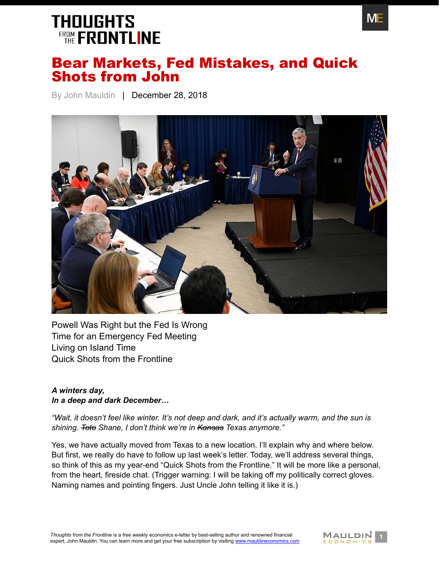

### Bear Markets, Fed Mistakes, and Quick Shots from John

By John Mauldin | December 28, 2018



[Powell Was Right but the Fed Is Wrong](#page-1-0) [Time for an Emergency Fed Meeting](#page-4-0) [Living on Island Time](#page-4-1) [Quick Shots from the Frontline](#page-6-0)

#### *A winters day, In a deep and dark December…*

*"Wait, it doesn't feel like winter. It's not deep and dark, and it's actually warm, and the sun is shining. Toto Shane, I don't think we're in Kansas Texas anymore."*

Yes, we have actually moved from Texas to a new location. I'll explain why and where below. But first, we really do have to follow up last week's letter. Today, we'll address several things, so think of this as my year-end "Quick Shots from the Frontline." It will be more like a personal, from the heart, fireside chat. (Trigger warning: I will be taking off my politically correct gloves. Naming names and pointing fingers. Just Uncle John telling it like it is.)

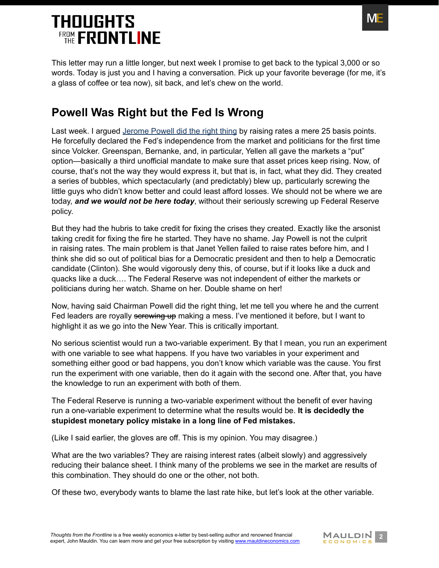

This letter may run a little longer, but next week I promise to get back to the typical 3,000 or so words. Today is just you and I having a conversation. Pick up your favorite beverage (for me, it's a glass of coffee or tea now), sit back, and let's chew on the world.

### <span id="page-1-0"></span>**Powell Was Right but the Fed Is Wrong**

Last week. I argued [Jerome Powell did the right thing](https://www.mauldineconomics.com/frontlinethoughts/powell-the-third-mandate-the-new-fed-and-crawdads) by raising rates a mere 25 basis points. He forcefully declared the Fed's independence from the market and politicians for the first time since Volcker. Greenspan, Bernanke, and, in particular, Yellen all gave the markets a "put" option—basically a third unofficial mandate to make sure that asset prices keep rising. Now, of course, that's not the way they would express it, but that is, in fact, what they did. They created a series of bubbles, which spectacularly (and predictably) blew up, particularly screwing the little guys who didn't know better and could least afford losses. We should not be where we are today, *and we would not be here today*, without their seriously screwing up Federal Reserve policy.

But they had the hubris to take credit for fixing the crises they created. Exactly like the arsonist taking credit for fixing the fire he started. They have no shame. Jay Powell is not the culprit in raising rates. The main problem is that Janet Yellen failed to raise rates before him, and I think she did so out of political bias for a Democratic president and then to help a Democratic candidate (Clinton). She would vigorously deny this, of course, but if it looks like a duck and quacks like a duck…. The Federal Reserve was not independent of either the markets or politicians during her watch. Shame on her. Double shame on her!

Now, having said Chairman Powell did the right thing, let me tell you where he and the current Fed leaders are royally serewing up making a mess. I've mentioned it before, but I want to highlight it as we go into the New Year. This is critically important.

No serious scientist would run a two-variable experiment. By that I mean, you run an experiment with one variable to see what happens. If you have two variables in your experiment and something either good or bad happens, you don't know which variable was the cause. You first run the experiment with one variable, then do it again with the second one. After that, you have the knowledge to run an experiment with both of them.

The Federal Reserve is running a two-variable experiment without the benefit of ever having run a one-variable experiment to determine what the results would be. **It is decidedly the stupidest monetary policy mistake in a long line of Fed mistakes.**

(Like I said earlier, the gloves are off. This is my opinion. You may disagree.)

What are the two variables? They are raising interest rates (albeit slowly) and aggressively reducing their balance sheet. I think many of the problems we see in the market are results of this combination. They should do one or the other, not both.

Of these two, everybody wants to blame the last rate hike, but let's look at the other variable.

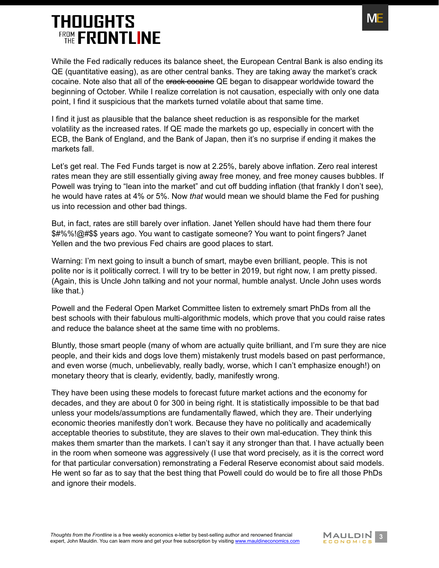While the Fed radically reduces its balance sheet, the European Central Bank is also ending its QE (quantitative easing), as are other central banks. They are taking away the market's crack cocaine. Note also that all of the erack cocaine QE began to disappear worldwide toward the beginning of October. While I realize correlation is not causation, especially with only one data point, I find it suspicious that the markets turned volatile about that same time.

I find it just as plausible that the balance sheet reduction is as responsible for the market volatility as the increased rates. If QE made the markets go up, especially in concert with the ECB, the Bank of England, and the Bank of Japan, then it's no surprise if ending it makes the markets fall.

Let's get real. The Fed Funds target is now at 2.25%, barely above inflation. Zero real interest rates mean they are still essentially giving away free money, and free money causes bubbles. If Powell was trying to "lean into the market" and cut off budding inflation (that frankly I don't see), he would have rates at 4% or 5%. Now *that* would mean we should blame the Fed for pushing us into recession and other bad things.

But, in fact, rates are still barely over inflation. Janet Yellen should have had them there four \$#%%!@#\$\$ years ago. You want to castigate someone? You want to point fingers? Janet Yellen and the two previous Fed chairs are good places to start.

Warning: I'm next going to insult a bunch of smart, maybe even brilliant, people. This is not polite nor is it politically correct. I will try to be better in 2019, but right now, I am pretty pissed. (Again, this is Uncle John talking and not your normal, humble analyst. Uncle John uses words like that.)

Powell and the Federal Open Market Committee listen to extremely smart PhDs from all the best schools with their fabulous multi-algorithmic models, which prove that you could raise rates and reduce the balance sheet at the same time with no problems.

Bluntly, those smart people (many of whom are actually quite brilliant, and I'm sure they are nice people, and their kids and dogs love them) mistakenly trust models based on past performance, and even worse (much, unbelievably, really badly, worse, which I can't emphasize enough!) on monetary theory that is clearly, evidently, badly, manifestly wrong.

They have been using these models to forecast future market actions and the economy for decades, and they are about 0 for 300 in being right. It is statistically impossible to be that bad unless your models/assumptions are fundamentally flawed, which they are. Their underlying economic theories manifestly don't work. Because they have no politically and academically acceptable theories to substitute, they are slaves to their own mal-education. They think this makes them smarter than the markets. I can't say it any stronger than that. I have actually been in the room when someone was aggressively (I use that word precisely, as it is the correct word for that particular conversation) remonstrating a Federal Reserve economist about said models. He went so far as to say that the best thing that Powell could do would be to fire all those PhDs and ignore their models.

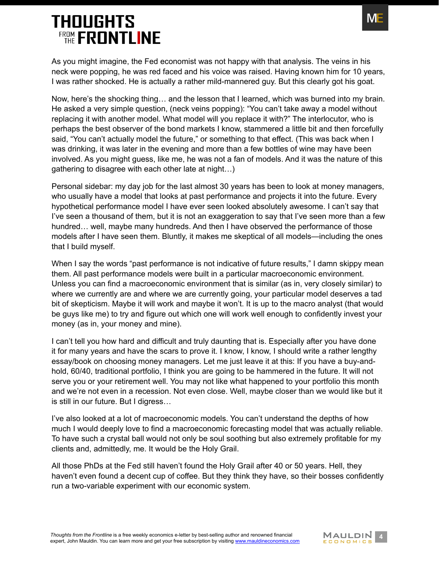

As you might imagine, the Fed economist was not happy with that analysis. The veins in his neck were popping, he was red faced and his voice was raised. Having known him for 10 years, I was rather shocked. He is actually a rather mild-mannered guy. But this clearly got his goat.

Now, here's the shocking thing… and the lesson that I learned, which was burned into my brain. He asked a very simple question, (neck veins popping): "You can't take away a model without replacing it with another model. What model will you replace it with?" The interlocutor, who is perhaps the best observer of the bond markets I know, stammered a little bit and then forcefully said, "You can't actually model the future," or something to that effect. (This was back when I was drinking, it was later in the evening and more than a few bottles of wine may have been involved. As you might guess, like me, he was not a fan of models. And it was the nature of this gathering to disagree with each other late at night…)

Personal sidebar: my day job for the last almost 30 years has been to look at money managers, who usually have a model that looks at past performance and projects it into the future. Every hypothetical performance model I have ever seen looked absolutely awesome. I can't say that I've seen a thousand of them, but it is not an exaggeration to say that I've seen more than a few hundred… well, maybe many hundreds. And then I have observed the performance of those models after I have seen them. Bluntly, it makes me skeptical of all models—including the ones that I build myself.

When I say the words "past performance is not indicative of future results," I damn skippy mean them. All past performance models were built in a particular macroeconomic environment. Unless you can find a macroeconomic environment that is similar (as in, very closely similar) to where we currently are and where we are currently going, your particular model deserves a tad bit of skepticism. Maybe it will work and maybe it won't. It is up to the macro analyst (that would be guys like me) to try and figure out which one will work well enough to confidently invest your money (as in, your money and mine).

I can't tell you how hard and difficult and truly daunting that is. Especially after you have done it for many years and have the scars to prove it. I know, I know, I should write a rather lengthy essay/book on choosing money managers. Let me just leave it at this: If you have a buy-andhold, 60/40, traditional portfolio, I think you are going to be hammered in the future. It will not serve you or your retirement well. You may not like what happened to your portfolio this month and we're not even in a recession. Not even close. Well, maybe closer than we would like but it is still in our future. But I digress…

I've also looked at a lot of macroeconomic models. You can't understand the depths of how much I would deeply love to find a macroeconomic forecasting model that was actually reliable. To have such a crystal ball would not only be soul soothing but also extremely profitable for my clients and, admittedly, me. It would be the Holy Grail.

All those PhDs at the Fed still haven't found the Holy Grail after 40 or 50 years. Hell, they haven't even found a decent cup of coffee. But they think they have, so their bosses confidently run a two-variable experiment with our economic system.

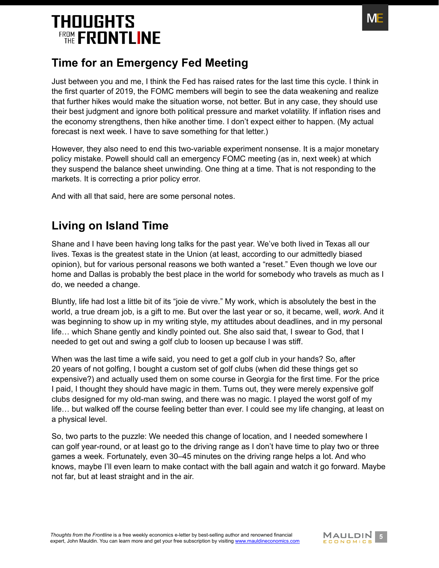

#### <span id="page-4-0"></span>**Time for an Emergency Fed Meeting**

Just between you and me, I think the Fed has raised rates for the last time this cycle. I think in the first quarter of 2019, the FOMC members will begin to see the data weakening and realize that further hikes would make the situation worse, not better. But in any case, they should use their best judgment and ignore both political pressure and market volatility. If inflation rises and the economy strengthens, then hike another time. I don't expect either to happen. (My actual forecast is next week. I have to save something for that letter.)

However, they also need to end this two-variable experiment nonsense. It is a major monetary policy mistake. Powell should call an emergency FOMC meeting (as in, next week) at which they suspend the balance sheet unwinding. One thing at a time. That is not responding to the markets. It is correcting a prior policy error.

And with all that said, here are some personal notes.

### <span id="page-4-1"></span>**Living on Island Time**

Shane and I have been having long talks for the past year. We've both lived in Texas all our lives. Texas is the greatest state in the Union (at least, according to our admittedly biased opinion), but for various personal reasons we both wanted a "reset." Even though we love our home and Dallas is probably the best place in the world for somebody who travels as much as I do, we needed a change.

Bluntly, life had lost a little bit of its "joie de vivre." My work, which is absolutely the best in the world, a true dream job, is a gift to me. But over the last year or so, it became, well, *work*. And it was beginning to show up in my writing style, my attitudes about deadlines, and in my personal life… which Shane gently and kindly pointed out. She also said that, I swear to God, that I needed to get out and swing a golf club to loosen up because I was stiff.

When was the last time a wife said, you need to get a golf club in your hands? So, after 20 years of not golfing, I bought a custom set of golf clubs (when did these things get so expensive?) and actually used them on some course in Georgia for the first time. For the price I paid, I thought they should have magic in them. Turns out, they were merely expensive golf clubs designed for my old-man swing, and there was no magic. I played the worst golf of my life… but walked off the course feeling better than ever. I could see my life changing, at least on a physical level.

So, two parts to the puzzle: We needed this change of location, and I needed somewhere I can golf year-round, or at least go to the driving range as I don't have time to play two or three games a week. Fortunately, even 30–45 minutes on the driving range helps a lot. And who knows, maybe I'll even learn to make contact with the ball again and watch it go forward. Maybe not far, but at least straight and in the air.

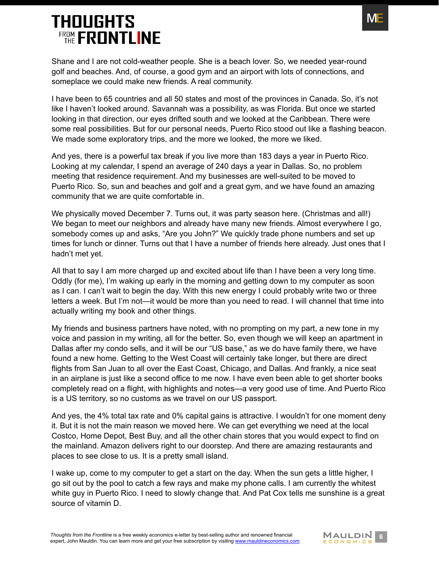

Shane and I are not cold-weather people. She is a beach lover. So, we needed year-round golf and beaches. And, of course, a good gym and an airport with lots of connections, and someplace we could make new friends. A real community.

I have been to 65 countries and all 50 states and most of the provinces in Canada. So, it's not like I haven't looked around. Savannah was a possibility, as was Florida. But once we started looking in that direction, our eyes drifted south and we looked at the Caribbean. There were some real possibilities. But for our personal needs, Puerto Rico stood out like a flashing beacon. We made some exploratory trips, and the more we looked, the more we liked.

And yes, there is a powerful tax break if you live more than 183 days a year in Puerto Rico. Looking at my calendar, I spend an average of 240 days a year in Dallas. So, no problem meeting that residence requirement. And my businesses are well-suited to be moved to Puerto Rico. So, sun and beaches and golf and a great gym, and we have found an amazing community that we are quite comfortable in.

We physically moved December 7. Turns out, it was party season here. (Christmas and all!) We began to meet our neighbors and already have many new friends. Almost everywhere I go, somebody comes up and asks, "Are you John?" We quickly trade phone numbers and set up times for lunch or dinner. Turns out that I have a number of friends here already. Just ones that I hadn't met yet.

All that to say I am more charged up and excited about life than I have been a very long time. Oddly (for me), I'm waking up early in the morning and getting down to my computer as soon as I can. I can't wait to begin the day. With this new energy I could probably write two or three letters a week. But I'm not—it would be more than you need to read. I will channel that time into actually writing my book and other things.

My friends and business partners have noted, with no prompting on my part, a new tone in my voice and passion in my writing, all for the better. So, even though we will keep an apartment in Dallas after my condo sells, and it will be our "US base," as we do have family there, we have found a new home. Getting to the West Coast will certainly take longer, but there are direct flights from San Juan to all over the East Coast, Chicago, and Dallas. And frankly, a nice seat in an airplane is just like a second office to me now. I have even been able to get shorter books completely read on a flight, with highlights and notes—a very good use of time. And Puerto Rico is a US territory, so no customs as we travel on our US passport.

And yes, the 4% total tax rate and 0% capital gains is attractive. I wouldn't for one moment deny it. But it is not the main reason we moved here. We can get everything we need at the local Costco, Home Depot, Best Buy, and all the other chain stores that you would expect to find on the mainland. Amazon delivers right to our doorstep. And there are amazing restaurants and places to see close to us. It is a pretty small island.

I wake up, come to my computer to get a start on the day. When the sun gets a little higher, I go sit out by the pool to catch a few rays and make my phone calls. I am currently the whitest white guy in Puerto Rico. I need to slowly change that. And Pat Cox tells me sunshine is a great source of vitamin D.

**Fhoughts from the Frontline is a free weekly economics e-letter by best-selling author and renowned financial<br>expert, John Mauldin. You can learn more and get your free subscription by visiting www.mauldineconomics.com** expert, John Mauldin. You can learn more and get your free subscription by visiting [www.mauldineconomics.com](http://www.mauldineconomics.com/subscribe)

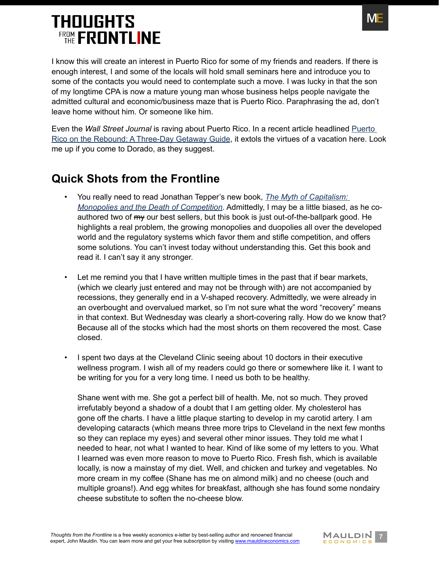

I know this will create an interest in Puerto Rico for some of my friends and readers. If there is enough interest, I and some of the locals will hold small seminars here and introduce you to some of the contacts you would need to contemplate such a move. I was lucky in that the son of my longtime CPA is now a mature young man whose business helps people navigate the admitted cultural and economic/business maze that is Puerto Rico. Paraphrasing the ad, don't leave home without him. Or someone like him.

Even the *Wall Street Journal* is raving about Puerto Rico. In a recent article headlined [Puerto](https://www.wsj.com/articles/puerto-rico-on-the-rebound-a-three-day-getaway-guide-11545838634?emailToken=a5c3260d99ff345a1598d759a9179dd1zbSt5gH1360FDL5V6Q/sMjlJw0yaK8KRRplK/NsXfOX3DjXySiXdjGD1NNPLCnohW9KRHIqIxkV7Wy8CsgLoGubQCja1FBfQZ08oMlOU6ran5xzKReyWups5r2RLprkE&reflink=article_email_share)  [Rico on the Rebound: A Three-Day Getaway Guide](https://www.wsj.com/articles/puerto-rico-on-the-rebound-a-three-day-getaway-guide-11545838634?emailToken=a5c3260d99ff345a1598d759a9179dd1zbSt5gH1360FDL5V6Q/sMjlJw0yaK8KRRplK/NsXfOX3DjXySiXdjGD1NNPLCnohW9KRHIqIxkV7Wy8CsgLoGubQCja1FBfQZ08oMlOU6ran5xzKReyWups5r2RLprkE&reflink=article_email_share), it extols the virtues of a vacation here. Look me up if you come to Dorado, as they suggest.

### <span id="page-6-0"></span>**Quick Shots from the Frontline**

- You really need to read Jonathan Tepper's new book, *[The Myth of Capitalism:](https://www.amazon.com/gp/product/1119548195/ref=dbs_a_def_rwt_bibl_vppi_i0)  [Monopolies and the Death of Competition](https://www.amazon.com/gp/product/1119548195/ref=dbs_a_def_rwt_bibl_vppi_i0)*. Admittedly, I may be a little biased, as he coauthored two of  $m<sub>y</sub>$  our best sellers, but this book is just out-of-the-ballpark good. He highlights a real problem, the growing monopolies and duopolies all over the developed world and the regulatory systems which favor them and stifle competition, and offers some solutions. You can't invest today without understanding this. Get this book and read it. I can't say it any stronger.
- Let me remind you that I have written multiple times in the past that if bear markets, (which we clearly just entered and may not be through with) are not accompanied by recessions, they generally end in a V-shaped recovery. Admittedly, we were already in an overbought and overvalued market, so I'm not sure what the word "recovery" means in that context. But Wednesday was clearly a short-covering rally. How do we know that? Because all of the stocks which had the most shorts on them recovered the most. Case closed.
- I spent two days at the Cleveland Clinic seeing about 10 doctors in their executive wellness program. I wish all of my readers could go there or somewhere like it. I want to be writing for you for a very long time. I need us both to be healthy.

Shane went with me. She got a perfect bill of health. Me, not so much. They proved irrefutably beyond a shadow of a doubt that I am getting older. My cholesterol has gone off the charts. I have a little plaque starting to develop in my carotid artery. I am developing cataracts (which means three more trips to Cleveland in the next few months so they can replace my eyes) and several other minor issues. They told me what I needed to hear, not what I wanted to hear. Kind of like some of my letters to you. What I learned was even more reason to move to Puerto Rico. Fresh fish, which is available locally, is now a mainstay of my diet. Well, and chicken and turkey and vegetables. No more cream in my coffee (Shane has me on almond milk) and no cheese (ouch and multiple groans!). And egg whites for breakfast, although she has found some nondairy cheese substitute to soften the no-cheese blow.

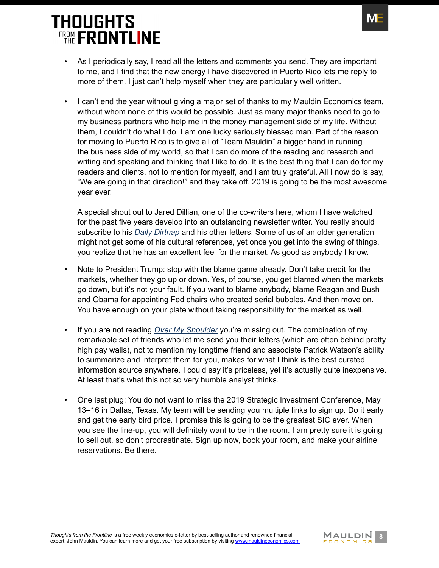

- As I periodically say, I read all the letters and comments you send. They are important to me, and I find that the new energy I have discovered in Puerto Rico lets me reply to more of them. I just can't help myself when they are particularly well written.
- I can't end the year without giving a major set of thanks to my Mauldin Economics team, without whom none of this would be possible. Just as many major thanks need to go to my business partners who help me in the money management side of my life. Without them, I couldn't do what I do. I am one lucky seriously blessed man. Part of the reason for moving to Puerto Rico is to give all of "Team Mauldin" a bigger hand in running the business side of my world, so that I can do more of the reading and research and writing and speaking and thinking that I like to do. It is the best thing that I can do for my readers and clients, not to mention for myself, and I am truly grateful. All I now do is say, "We are going in that direction!" and they take off. 2019 is going to be the most awesome year ever.

A special shout out to Jared Dillian, one of the co-writers here, whom I have watched for the past five years develop into an outstanding newsletter writer. You really should subscribe to his *[Daily Dirtnap](http://www.mauldineconomics.com/go/v3b68r/MEC)* and his other letters. Some of us of an older generation might not get some of his cultural references, yet once you get into the swing of things, you realize that he has an excellent feel for the market. As good as anybody I know.

- Note to President Trump: stop with the blame game already. Don't take credit for the markets, whether they go up or down. Yes, of course, you get blamed when the markets go down, but it's not your fault. If you want to blame anybody, blame Reagan and Bush and Obama for appointing Fed chairs who created serial bubbles. And then move on. You have enough on your plate without taking responsibility for the market as well.
- If you are not reading *[Over My Shoulder](http://www.mauldineconomics.com/go/v3b5ll/MEC)* you're missing out. The combination of my remarkable set of friends who let me send you their letters (which are often behind pretty high pay walls), not to mention my longtime friend and associate Patrick Watson's ability to summarize and interpret them for you, makes for what I think is the best curated information source anywhere. I could say it's priceless, yet it's actually quite inexpensive. At least that's what this not so very humble analyst thinks.
- One last plug: You do not want to miss the 2019 Strategic Investment Conference, May 13–16 in Dallas, Texas. My team will be sending you multiple links to sign up. Do it early and get the early bird price. I promise this is going to be the greatest SIC ever. When you see the line-up, you will definitely want to be in the room. I am pretty sure it is going to sell out, so don't procrastinate. Sign up now, book your room, and make your airline reservations. Be there.

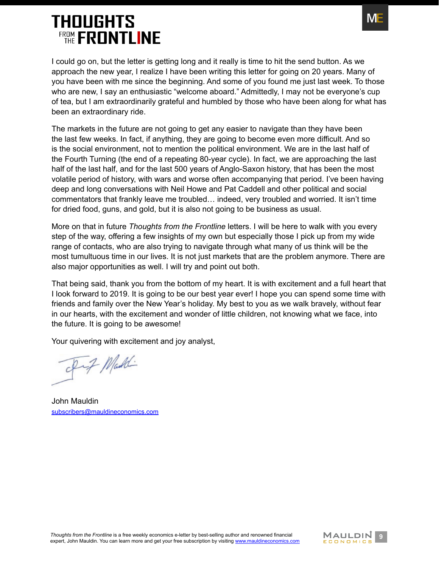

I could go on, but the letter is getting long and it really is time to hit the send button. As we approach the new year, I realize I have been writing this letter for going on 20 years. Many of you have been with me since the beginning. And some of you found me just last week. To those who are new, I say an enthusiastic "welcome aboard." Admittedly, I may not be everyone's cup of tea, but I am extraordinarily grateful and humbled by those who have been along for what has been an extraordinary ride.

The markets in the future are not going to get any easier to navigate than they have been the last few weeks. In fact, if anything, they are going to become even more difficult. And so is the social environment, not to mention the political environment. We are in the last half of the Fourth Turning (the end of a repeating 80-year cycle). In fact, we are approaching the last half of the last half, and for the last 500 years of Anglo-Saxon history, that has been the most volatile period of history, with wars and worse often accompanying that period. I've been having deep and long conversations with Neil Howe and Pat Caddell and other political and social commentators that frankly leave me troubled… indeed, very troubled and worried. It isn't time for dried food, guns, and gold, but it is also not going to be business as usual.

More on that in future *Thoughts from the Frontline* letters. I will be here to walk with you every step of the way, offering a few insights of my own but especially those I pick up from my wide range of contacts, who are also trying to navigate through what many of us think will be the most tumultuous time in our lives. It is not just markets that are the problem anymore. There are also major opportunities as well. I will try and point out both.

That being said, thank you from the bottom of my heart. It is with excitement and a full heart that I look forward to 2019. It is going to be our best year ever! I hope you can spend some time with friends and family over the New Year's holiday. My best to you as we walk bravely, without fear in our hearts, with the excitement and wonder of little children, not knowing what we face, into the future. It is going to be awesome!

Your quivering with excitement and joy analyst,

Of Maddi

John Mauldin [subscribers@mauldineconomics.com](mailto:subscribers%40mauldineconomics.com?subject=)